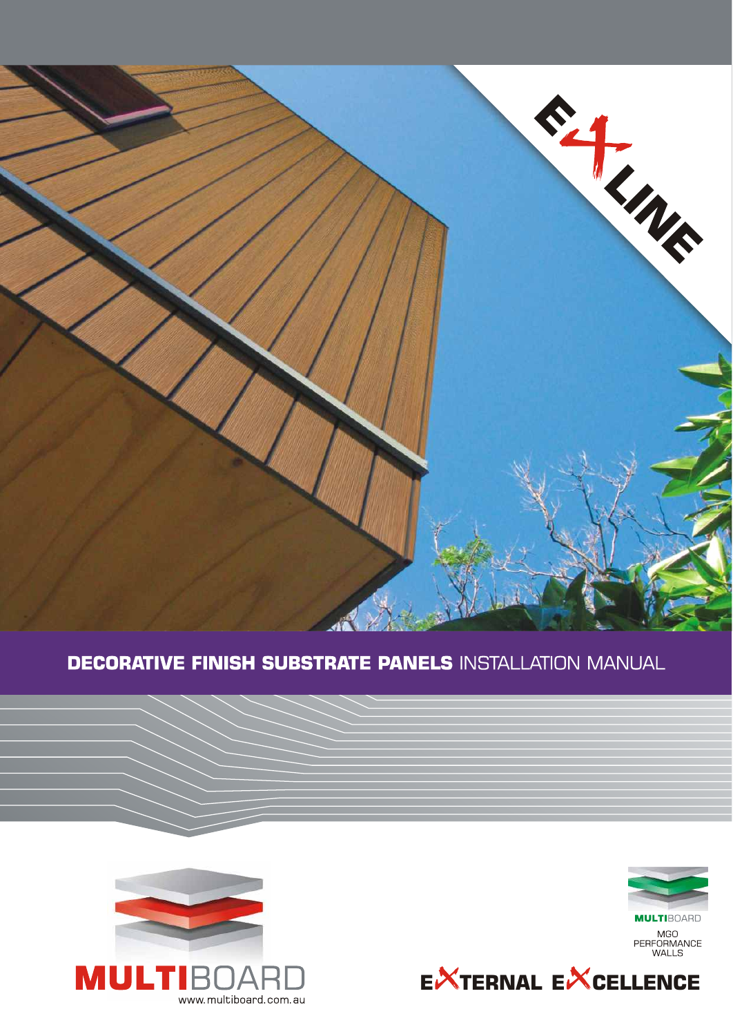

# **DECORATIVE FINISH SUBSTRATE PANELS INSTALLATION MANUAL**



**MULTIBOARD** MGO<br>PERFORMANCE<br>WALLS



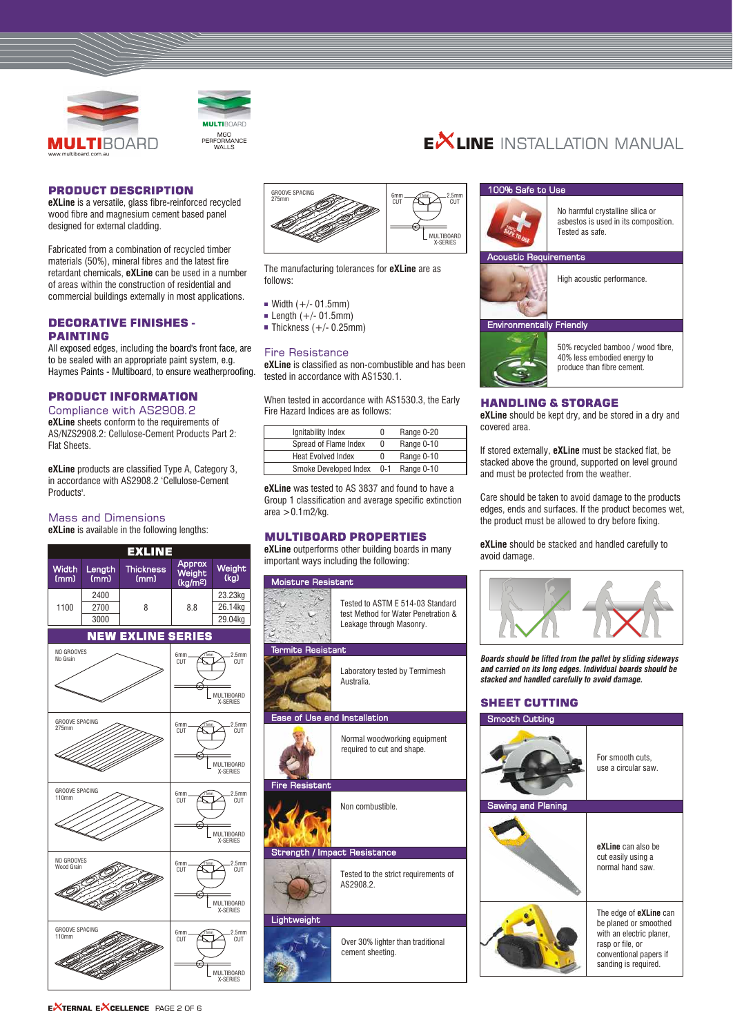



#### **PRODUCT DESCRIPTION**

**eXLine** is a versatile, glass fibre-reinforced recycled wood fibre and magnesium cement based panel designed for external cladding.

Fabricated from a combination of recycled timber materials (50%), mineral fibres and the latest fire retardant chemicals, **eXLine** can be used in a number of areas within the construction of residential and commercial buildings externally in most applications.

# **DECORATIVE FINISHES -PAINTING**

All exposed edges, including the board's front face, are to be sealed with an appropriate paint system, e.g. Haymes Paints - Multiboard, to ensure weatherproofing.

# **PRODUCT INFORMATION**

Compliance with AS2908.2 **eXLine** sheets conform to the requirements of AS/NZS2908.2: Cellulose-Cement Products Part 2: Flat Sheets.

**eXLine** products are classified Type A, Category 3, in accordance with AS2908.2 'Cellulose-Cement Products'.

#### **Mass and Dimensions**

**eXLine** is available in the following lengths:





The manufacturing tolerances for **eXLine** are as follows:

- $W$  Width  $(+/- 01.5$ mm)
- Length  $(+/- 01.5$ mm)
- $\blacksquare$  Thickness (+/- 0.25mm)

#### **Fire Resistance**

**eXLine** is classified as non-combustible and has been tested in accordance with AS1530.1.

When tested in accordance with AS1530.3, the Early Fire Hazard Indices are as follows:

| Ignitability Index        | 0       | Range 0-20 |
|---------------------------|---------|------------|
| Spread of Flame Index     | 0       | Range 0-10 |
| <b>Heat Evolved Index</b> | 0       | Range 0-10 |
| Smoke Developed Index     | $0 - 1$ | Range 0-10 |

**eXLine** was tested to AS 3837 and found to have a Group 1 classification and average specific extinction  $area > 0.1$ m2/kg.

### **MULTIBOARD PROPERTIES**

**eXLine** outperforms other building boards in many important ways including the following:



# $E^{\times}$ line installation manital

#### 100% Safe to Use



No harmful crystalline silica or asbestos is used in its composition. Tested as safe.

High acoustic performance.

### **Environmentally Friendly**

ic Requirements



50% recycled bamboo / wood fibre, 40% less embodied energy to produce than fibre cement.

# **HANDLING & STORAGE**

**eXLine** should be kept dry, and be stored in a dry and covered area.

If stored externally, **eXLine** must be stacked flat, be stacked above the ground, supported on level ground and must be protected from the weather.

Care should be taken to avoid damage to the products edges, ends and surfaces. If the product becomes wet, the product must be allowed to dry before fixing.

**eXLine** should be stacked and handled carefully to avoid damage.



*Boards should be lifted from the pallet by sliding sideways and carried on its long edges. Individual boards should be stacked and handled carefully to avoid damage.*

# **SHEET CUTTING**

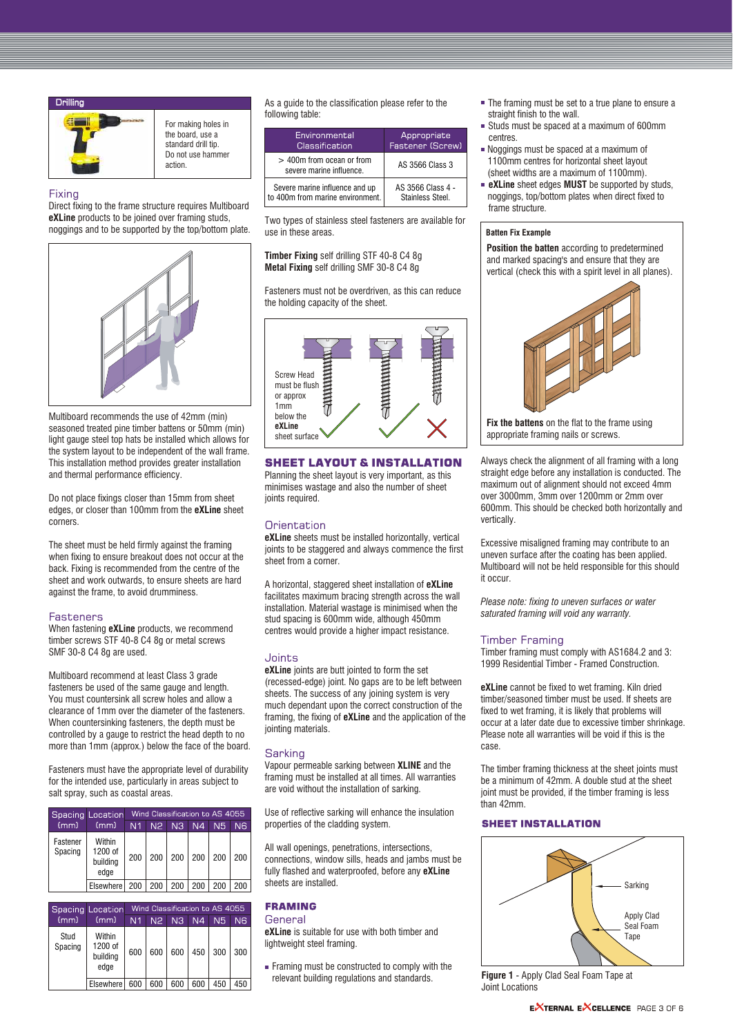

For making holes in the board, use a standard drill tip. Do not use hammer action.

#### Fixing

Direct fixing to the frame structure requires Multiboard **eXLine** products to be joined over framing studs, noggings and to be supported by the top/bottom plate.



Multiboard recommends the use of 42mm (min) seasoned treated pine timber battens or 50mm (min) light gauge steel top hats be installed which allows for the system layout to be independent of the wall frame. This installation method provides greater installation and thermal performance efficiency.

Do not place fixings closer than 15mm from sheet edges, or closer than 100mm from the **eXLine** sheet corners.

The sheet must be held firmly against the framing when fixing to ensure breakout does not occur at the back. Fixing is recommended from the centre of the sheet and work outwards, to ensure sheets are hard against the frame, to avoid drumminess.

#### **Fasteners**

When fastening **eXLine** products, we recommend timber screws STF 40-8 C4 8g or metal screws SMF 30-8 C4 8g are used.

Multiboard recommend at least Class 3 grade fasteners be used of the same gauge and length. You must countersink all screw holes and allow a clearance of 1mm over the diameter of the fasteners. When countersinking fasteners, the depth must be controlled by a gauge to restrict the head depth to no more than 1mm (approx.) below the face of the board.

Fasteners must have the appropriate level of durability for the intended use, particularly in areas subject to salt spray, such as coastal areas.

|                     | <b>Spacing Location</b>               |                | Wind Classification to AS 4055 |                |                |     |     |
|---------------------|---------------------------------------|----------------|--------------------------------|----------------|----------------|-----|-----|
| (mm)                | (mm)                                  | N <sub>1</sub> | N <sub>2</sub>                 | N <sub>3</sub> | N <sub>4</sub> | N5  | N6  |
| Fastener<br>Spacing | Within<br>1200 of<br>building<br>edae | 200            | 200                            | 200            | 200            | 200 | 200 |
|                     | Elsewhere I                           | 200            | 200                            | 200            | 200            | 200 | 200 |

|                 | Spacing Location                      |                |                | Wind Classification to AS 4055 |                |     |     |
|-----------------|---------------------------------------|----------------|----------------|--------------------------------|----------------|-----|-----|
| (mm)            | (mm)                                  | N <sub>1</sub> | N <sub>2</sub> | N <sub>3</sub>                 | N <sub>4</sub> | N5  | N6  |
| Stud<br>Spacing | Within<br>1200 of<br>building<br>edge | 600            | 600            | 600                            | 450            | 300 | 300 |
|                 | Elsewhere I                           | 600            | 600            | 600                            | 600            | 450 | 450 |

As a guide to the classification please refer to the following table:

| Environmental                                         | Appropriate       |
|-------------------------------------------------------|-------------------|
| Classification                                        | Fastener (Screw)  |
| > 400m from ocean or from<br>severe marine influence. | AS 3566 Class 3   |
| Severe marine influence and up                        | AS 3566 Class 4 - |
| to 400m from marine environment.                      | Stainless Steel.  |

Two types of stainless steel fasteners are available for use in these areas.

**Timber Fixing** self drilling STF 40-8 C4 8g **Metal Fixing** self drilling SMF 30-8 C4 8g

Fasteners must not be overdriven, as this can reduce the holding capacity of the sheet.



**SHEET LAYOUT & INSTALLATION** 

Planning the sheet layout is very important, as this minimises wastage and also the number of sheet ioints required.

## Orientation

**eXLine** sheets must be installed horizontally, vertical joints to be staggered and always commence the first sheet from a corner.

A horizontal, staggered sheet installation of **eXLine**  facilitates maximum bracing strength across the wall installation. Material wastage is minimised when the stud spacing is 600mm wide, although 450mm centres would provide a higher impact resistance.

## Joints

**eXLine** joints are butt jointed to form the set (recessed-edge) joint. No gaps are to be left between sheets. The success of any joining system is very much dependant upon the correct construction of the framing, the fixing of **eXLine** and the application of the jointing materials.

#### Sarking

Vapour permeable sarking between **XLINE** and the framing must be installed at all times. All warranties are void without the installation of sarking.

Use of reflective sarking will enhance the insulation properties of the cladding system.

All wall openings, penetrations, intersections, connections, window sills, heads and jambs must be fully flashed and waterproofed, before any **eXLine** sheets are installed.

# **FRAMING**

General

**eXLine** is suitable for use with both timber and lightweight steel framing.

Framing must be constructed to comply with the relevant building regulations and standards.

- The framing must be set to a true plane to ensure a straight finish to the wall.
- Studs must be spaced at a maximum of 600mm centres.
- Noggings must be spaced at a maximum of 1100mm centres for horizontal sheet layout (sheet widths are a maximum of 1100mm).
- **eXLine** sheet edges **MUST** be supported by studs, noggings, top/bottom plates when direct fixed to frame structure.

#### **Batten Fix Example**

**Position the batten** according to predetermined and marked spacing's and ensure that they are vertical (check this with a spirit level in all planes).



**Fix the battens** on the flat to the frame using appropriate framing nails or screws.

Always check the alignment of all framing with a long straight edge before any installation is conducted. The maximum out of alignment should not exceed 4mm over 3000mm, 3mm over 1200mm or 2mm over 600mm. This should be checked both horizontally and vertically.

Excessive misaligned framing may contribute to an uneven surface after the coating has been applied. Multiboard will not be held responsible for this should it occur.

*Please note: fixing to uneven surfaces or water saturated framing will void any warranty.* 

# **Timber Framing**

Timber framing must comply with AS1684.2 and 3: 1999 Residential Timber - Framed Construction.

**eXLine** cannot be fixed to wet framing. Kiln dried timber/seasoned timber must be used. If sheets are fixed to wet framing, it is likely that problems will occur at a later date due to excessive timber shrinkage. Please note all warranties will be void if this is the case.

The timber framing thickness at the sheet joints must be a minimum of 42mm. A double stud at the sheet joint must be provided, if the timber framing is less than 42mm.

#### **SHEET INSTALLATION**



**Figure 1** - Apply Clad Seal Foam Tape at Joint Locations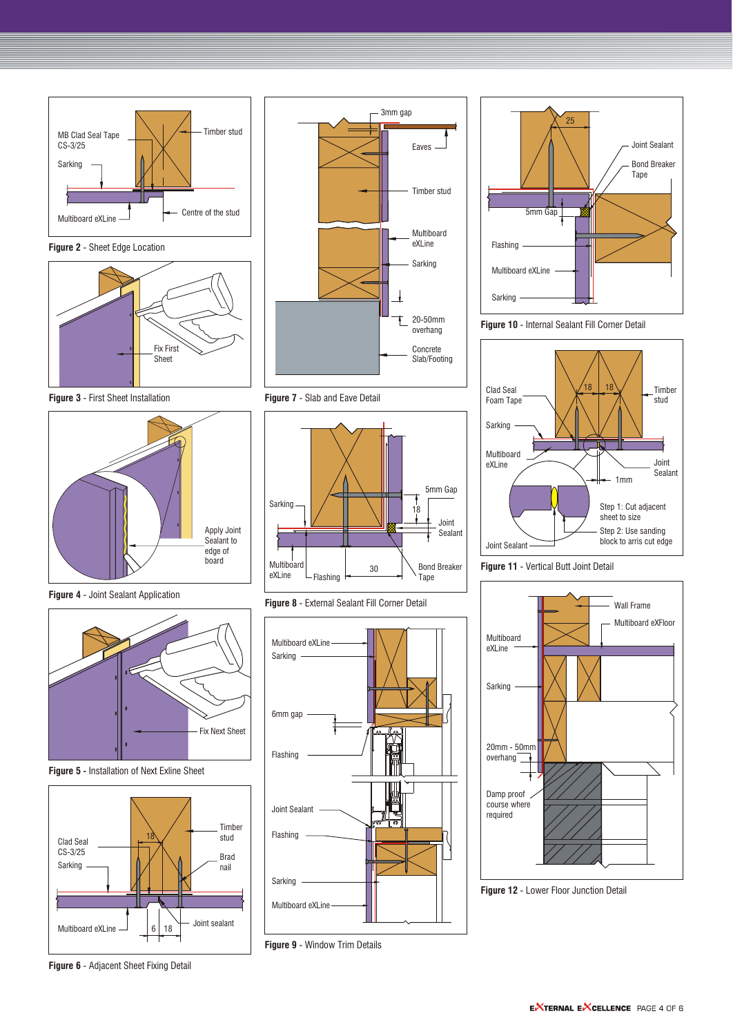

**Figure 2** - Sheet Edge Location



**Figure 3** - First Sheet Installation



**Figure 4** - Joint Sealant Application



**Figure 5 -** Installation of Next Exline Sheet



**Figure 6** - Adjacent Sheet Fixing Detail



**Figure 7** - Slab and Eave Detail



**Figure 8** - External Sealant Fill Corner Detail



**Figure 9** - Window Trim Details







**Figure 11** - Vertical Butt Joint Detail



**Figure 12** - Lower Floor Junction Detail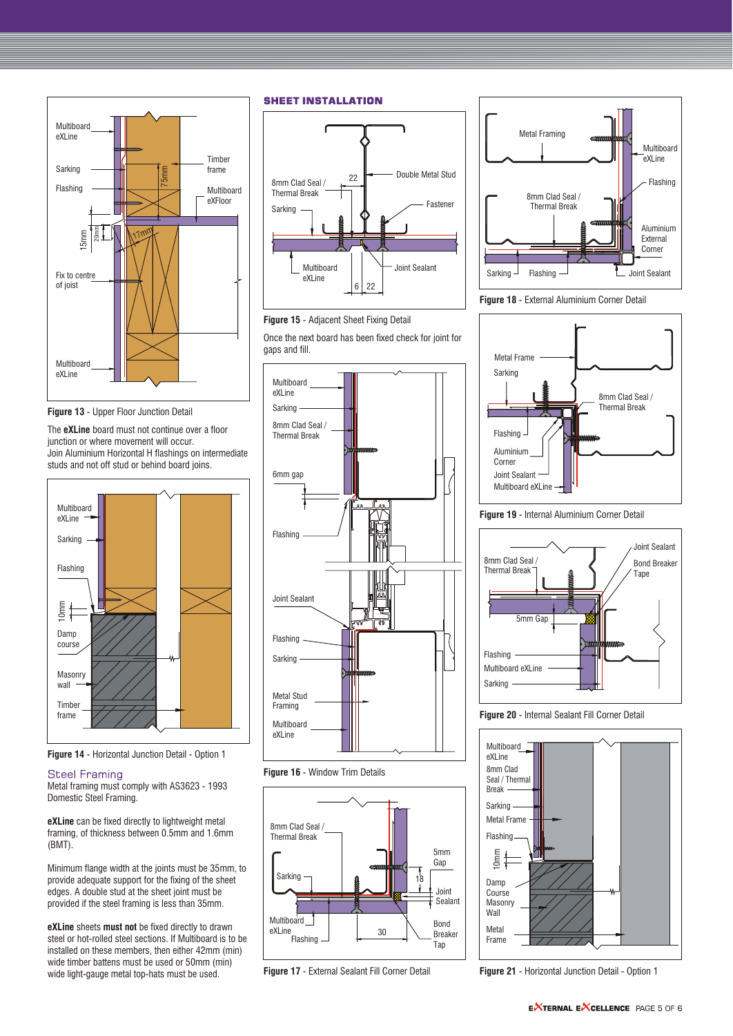

**Figure 13** - Upper Floor Junction Detail

The **eXLine** board must not continue over a floor junction or where movement will occur. Join Aluminium Horizontal H flashings on intermediate studs and not off stud or behind board joins.



**Figure 14** - Horizontal Junction Detail - Option 1

# **Steel Framing**

Metal framing must comply with AS3623 - 1993 Domestic Steel Framing.

**eXLine** can be fixed directly to lightweight metal framing, of thickness between 0.5mm and 1.6mm (BMT).

Minimum flange width at the joints must be 35mm, to provide adequate support for the fixing of the sheet edges. A double stud at the sheet joint must be provided if the steel framing is less than 35mm.

**eXLine** sheets **must not** be fixed directly to drawn steel or hot-rolled steel sections. If Multiboard is to be installed on these members, then either 42mm (min) wide timber battens must be used or 50mm (min) wide light-gauge metal top-hats must be used.

**SHEET INSTALLATION** 



**Figure 15** - Adjacent Sheet Fixing Detail

Once the next board has been fixed check for joint for gaps and fill.



**Figure 16** - Window Trim Details



**Figure 17** - External Sealant Fill Corner Detail







**Figure 19** - Internal Aluminium Corner Detail



**Figure 20** - Internal Sealant Fill Corner Detail



**Figure 21** - Horizontal Junction Detail - Option 1